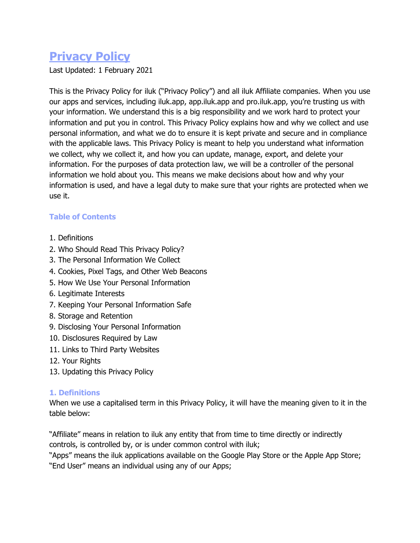# **Privacy Policy**

Last Updated: 1 February 2021

This is the Privacy Policy for iluk ("Privacy Policy") and all iluk Affiliate companies. When you use our apps and services, including iluk.app, app.iluk.app and pro.iluk.app, you're trusting us with your information. We understand this is a big responsibility and we work hard to protect your information and put you in control. This Privacy Policy explains how and why we collect and use personal information, and what we do to ensure it is kept private and secure and in compliance with the applicable laws. This Privacy Policy is meant to help you understand what information we collect, why we collect it, and how you can update, manage, export, and delete your information. For the purposes of data protection law, we will be a controller of the personal information we hold about you. This means we make decisions about how and why your information is used, and have a legal duty to make sure that your rights are protected when we use it.

# **Table of Contents**

- 1. Definitions
- 2. Who Should Read This Privacy Policy?
- 3. The Personal Information We Collect
- 4. Cookies, Pixel Tags, and Other Web Beacons
- 5. How We Use Your Personal Information
- 6. Legitimate Interests
- 7. Keeping Your Personal Information Safe
- 8. Storage and Retention
- 9. Disclosing Your Personal Information
- 10. Disclosures Required by Law
- 11. Links to Third Party Websites
- 12. Your Rights
- 13. Updating this Privacy Policy

#### **1. Definitions**

When we use a capitalised term in this Privacy Policy, it will have the meaning given to it in the table below:

"Affiliate" means in relation to iluk any entity that from time to time directly or indirectly controls, is controlled by, or is under common control with iluk;

"Apps" means the iluk applications available on the Google Play Store or the Apple App Store; "End User" means an individual using any of our Apps;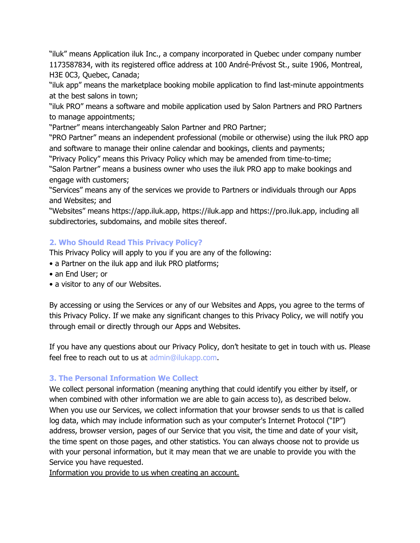"iluk" means Application iluk Inc., a company incorporated in Quebec under company number 1173587834, with its registered office address at 100 André-Prévost St., suite 1906, Montreal, H3E 0C3, Quebec, Canada;

"iluk app" means the marketplace booking mobile application to find last-minute appointments at the best salons in town;

"iluk PRO" means a software and mobile application used by Salon Partners and PRO Partners to manage appointments;

"Partner" means interchangeably Salon Partner and PRO Partner;

"PRO Partner" means an independent professional (mobile or otherwise) using the iluk PRO app and software to manage their online calendar and bookings, clients and payments;

"Privacy Policy" means this Privacy Policy which may be amended from time-to-time;

"Salon Partner" means a business owner who uses the iluk PRO app to make bookings and engage with customers;

"Services" means any of the services we provide to Partners or individuals through our Apps and Websites; and

"Websites" means https://app.iluk.app, https://iluk.app and https://pro.iluk.app, including all subdirectories, subdomains, and mobile sites thereof.

# **2. Who Should Read This Privacy Policy?**

This Privacy Policy will apply to you if you are any of the following:

- a Partner on the iluk app and iluk PRO platforms;
- an End User; or
- a visitor to any of our Websites.

By accessing or using the Services or any of our Websites and Apps, you agree to the terms of this Privacy Policy. If we make any significant changes to this Privacy Policy, we will notify you through email or directly through our Apps and Websites.

If you have any questions about our Privacy Policy, don't hesitate to get in touch with us. Please feel free to reach out to us at admin@ilukapp.com.

# **3. The Personal Information We Collect**

We collect personal information (meaning anything that could identify you either by itself, or when combined with other information we are able to gain access to), as described below. When you use our Services, we collect information that your browser sends to us that is called log data, which may include information such as your computer's Internet Protocol ("IP") address, browser version, pages of our Service that you visit, the time and date of your visit, the time spent on those pages, and other statistics. You can always choose not to provide us with your personal information, but it may mean that we are unable to provide you with the Service you have requested.

Information you provide to us when creating an account.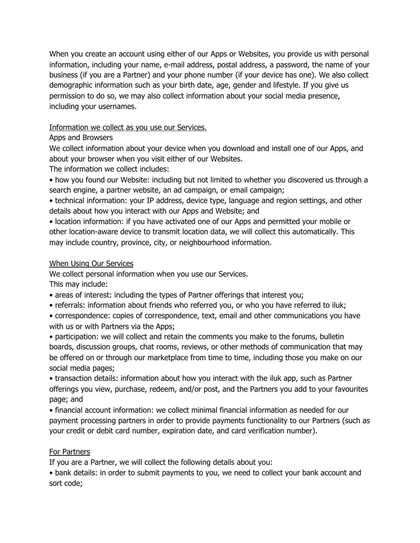When you create an account using either of our Apps or Websites, you provide us with personal information, including your name, e-mail address, postal address, a password, the name of your business (if you are a Partner) and your phone number (if your device has one). We also collect demographic information such as your birth date, age, gender and lifestyle. If you give us permission to do so, we may also collect information about your social media presence, including your usernames.

# Information we collect as you use our Services.

# Apps and Browsers

We collect information about your device when you download and install one of our Apps, and about your browser when you visit either of our Websites.

The information we collect includes:

• how you found our Website: including but not limited to whether you discovered us through a search engine, a partner website, an ad campaign, or email campaign;

• technical information: your IP address, device type, language and region settings, and other details about how you interact with our Apps and Website; and

• location information: if you have activated one of our Apps and permitted your mobile or other location-aware device to transmit location data, we will collect this automatically. This may include country, province, city, or neighbourhood information.

# When Using Our Services

We collect personal information when you use our Services.

This may include:

• areas of interest: including the types of Partner offerings that interest you;

- referrals: information about friends who referred you, or who you have referred to iluk;
- correspondence: copies of correspondence, text, email and other communications you have with us or with Partners via the Apps;

• participation: we will collect and retain the comments you make to the forums, bulletin boards, discussion groups, chat rooms, reviews, or other methods of communication that may be offered on or through our marketplace from time to time, including those you make on our social media pages;

• transaction details: information about how you interact with the iluk app, such as Partner offerings you view, purchase, redeem, and/or post, and the Partners you add to your favourites page; and

• financial account information: we collect minimal financial information as needed for our payment processing partners in order to provide payments functionality to our Partners (such as your credit or debit card number, expiration date, and card verification number).

# For Partners

If you are a Partner, we will collect the following details about you:

• bank details: in order to submit payments to you, we need to collect your bank account and sort code;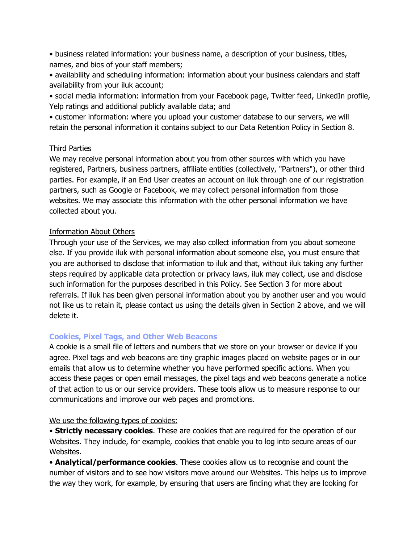• business related information: your business name, a description of your business, titles, names, and bios of your staff members;

• availability and scheduling information: information about your business calendars and staff availability from your iluk account;

• social media information: information from your Facebook page, Twitter feed, LinkedIn profile, Yelp ratings and additional publicly available data; and

• customer information: where you upload your customer database to our servers, we will retain the personal information it contains subject to our Data Retention Policy in Section 8.

#### Third Parties

We may receive personal information about you from other sources with which you have registered, Partners, business partners, affiliate entities (collectively, "Partners"), or other third parties. For example, if an End User creates an account on iluk through one of our registration partners, such as Google or Facebook, we may collect personal information from those websites. We may associate this information with the other personal information we have collected about you.

# Information About Others

Through your use of the Services, we may also collect information from you about someone else. If you provide iluk with personal information about someone else, you must ensure that you are authorised to disclose that information to iluk and that, without iluk taking any further steps required by applicable data protection or privacy laws, iluk may collect, use and disclose such information for the purposes described in this Policy. See Section 3 for more about referrals. If iluk has been given personal information about you by another user and you would not like us to retain it, please contact us using the details given in Section 2 above, and we will delete it.

#### **Cookies, Pixel Tags, and Other Web Beacons**

A cookie is a small file of letters and numbers that we store on your browser or device if you agree. Pixel tags and web beacons are tiny graphic images placed on website pages or in our emails that allow us to determine whether you have performed specific actions. When you access these pages or open email messages, the pixel tags and web beacons generate a notice of that action to us or our service providers. These tools allow us to measure response to our communications and improve our web pages and promotions.

#### We use the following types of cookies:

• **Strictly necessary cookies**. These are cookies that are required for the operation of our Websites. They include, for example, cookies that enable you to log into secure areas of our Websites.

• **Analytical/performance cookies**. These cookies allow us to recognise and count the number of visitors and to see how visitors move around our Websites. This helps us to improve the way they work, for example, by ensuring that users are finding what they are looking for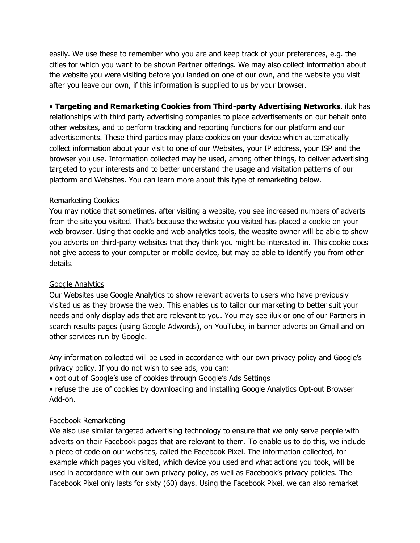easily. We use these to remember who you are and keep track of your preferences, e.g. the cities for which you want to be shown Partner offerings. We may also collect information about the website you were visiting before you landed on one of our own, and the website you visit after you leave our own, if this information is supplied to us by your browser.

• **Targeting and Remarketing Cookies from Third-party Advertising Networks**. iluk has

relationships with third party advertising companies to place advertisements on our behalf onto other websites, and to perform tracking and reporting functions for our platform and our advertisements. These third parties may place cookies on your device which automatically collect information about your visit to one of our Websites, your IP address, your ISP and the browser you use. Information collected may be used, among other things, to deliver advertising targeted to your interests and to better understand the usage and visitation patterns of our platform and Websites. You can learn more about this type of remarketing below.

#### Remarketing Cookies

You may notice that sometimes, after visiting a website, you see increased numbers of adverts from the site you visited. That's because the website you visited has placed a cookie on your web browser. Using that cookie and web analytics tools, the website owner will be able to show you adverts on third-party websites that they think you might be interested in. This cookie does not give access to your computer or mobile device, but may be able to identify you from other details.

#### Google Analytics

Our Websites use Google Analytics to show relevant adverts to users who have previously visited us as they browse the web. This enables us to tailor our marketing to better suit your needs and only display ads that are relevant to you. You may see iluk or one of our Partners in search results pages (using Google Adwords), on YouTube, in banner adverts on Gmail and on other services run by Google.

Any information collected will be used in accordance with our own privacy policy and Google's privacy policy. If you do not wish to see ads, you can:

• opt out of Google's use of cookies through Google's Ads Settings

• refuse the use of cookies by downloading and installing Google Analytics Opt-out Browser Add-on.

#### Facebook Remarketing

We also use similar targeted advertising technology to ensure that we only serve people with adverts on their Facebook pages that are relevant to them. To enable us to do this, we include a piece of code on our websites, called the Facebook Pixel. The information collected, for example which pages you visited, which device you used and what actions you took, will be used in accordance with our own privacy policy, as well as Facebook's privacy policies. The Facebook Pixel only lasts for sixty (60) days. Using the Facebook Pixel, we can also remarket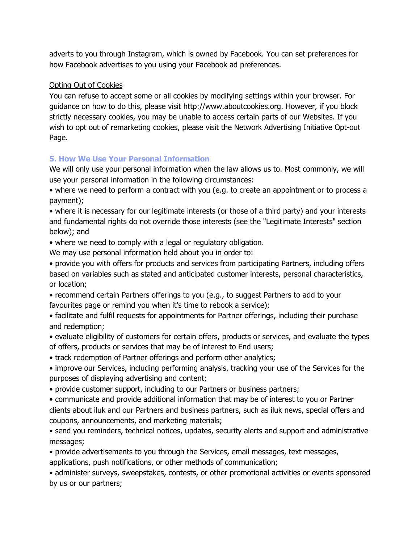adverts to you through Instagram, which is owned by Facebook. You can set preferences for how Facebook advertises to you using your Facebook ad preferences.

#### Opting Out of Cookies

You can refuse to accept some or all cookies by modifying settings within your browser. For guidance on how to do this, please visit http://www.aboutcookies.org. However, if you block strictly necessary cookies, you may be unable to access certain parts of our Websites. If you wish to opt out of remarketing cookies, please visit the Network Advertising Initiative Opt-out Page.

# **5. How We Use Your Personal Information**

We will only use your personal information when the law allows us to. Most commonly, we will use your personal information in the following circumstances:

• where we need to perform a contract with you (e.g. to create an appointment or to process a payment);

• where it is necessary for our legitimate interests (or those of a third party) and your interests and fundamental rights do not override those interests (see the "Legitimate Interests" section below); and

• where we need to comply with a legal or regulatory obligation.

We may use personal information held about you in order to:

• provide you with offers for products and services from participating Partners, including offers based on variables such as stated and anticipated customer interests, personal characteristics, or location;

• recommend certain Partners offerings to you (e.g., to suggest Partners to add to your favourites page or remind you when it's time to rebook a service);

• facilitate and fulfil requests for appointments for Partner offerings, including their purchase and redemption;

• evaluate eligibility of customers for certain offers, products or services, and evaluate the types of offers, products or services that may be of interest to End users;

• track redemption of Partner offerings and perform other analytics;

• improve our Services, including performing analysis, tracking your use of the Services for the purposes of displaying advertising and content;

• provide customer support, including to our Partners or business partners;

• communicate and provide additional information that may be of interest to you or Partner clients about iluk and our Partners and business partners, such as iluk news, special offers and coupons, announcements, and marketing materials;

• send you reminders, technical notices, updates, security alerts and support and administrative messages;

• provide advertisements to you through the Services, email messages, text messages, applications, push notifications, or other methods of communication;

• administer surveys, sweepstakes, contests, or other promotional activities or events sponsored by us or our partners;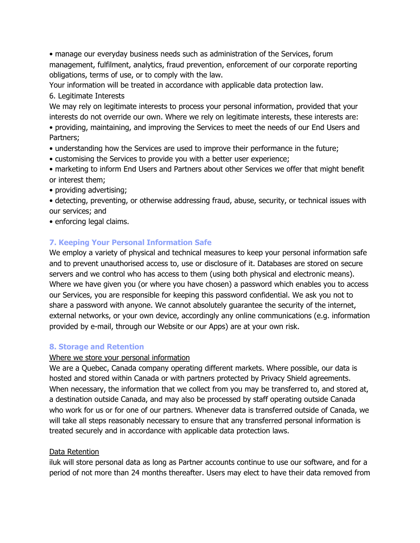• manage our everyday business needs such as administration of the Services, forum management, fulfilment, analytics, fraud prevention, enforcement of our corporate reporting obligations, terms of use, or to comply with the law.

Your information will be treated in accordance with applicable data protection law.

6. Legitimate Interests

We may rely on legitimate interests to process your personal information, provided that your interests do not override our own. Where we rely on legitimate interests, these interests are:

• providing, maintaining, and improving the Services to meet the needs of our End Users and Partners;

- understanding how the Services are used to improve their performance in the future;
- customising the Services to provide you with a better user experience;

• marketing to inform End Users and Partners about other Services we offer that might benefit or interest them;

• providing advertising;

• detecting, preventing, or otherwise addressing fraud, abuse, security, or technical issues with our services; and

• enforcing legal claims.

# **7. Keeping Your Personal Information Safe**

We employ a variety of physical and technical measures to keep your personal information safe and to prevent unauthorised access to, use or disclosure of it. Databases are stored on secure servers and we control who has access to them (using both physical and electronic means). Where we have given you (or where you have chosen) a password which enables you to access our Services, you are responsible for keeping this password confidential. We ask you not to share a password with anyone. We cannot absolutely guarantee the security of the internet, external networks, or your own device, accordingly any online communications (e.g. information provided by e-mail, through our Website or our Apps) are at your own risk.

# **8. Storage and Retention**

# Where we store your personal information

We are a Quebec, Canada company operating different markets. Where possible, our data is hosted and stored within Canada or with partners protected by Privacy Shield agreements. When necessary, the information that we collect from you may be transferred to, and stored at, a destination outside Canada, and may also be processed by staff operating outside Canada who work for us or for one of our partners. Whenever data is transferred outside of Canada, we will take all steps reasonably necessary to ensure that any transferred personal information is treated securely and in accordance with applicable data protection laws.

# Data Retention

iluk will store personal data as long as Partner accounts continue to use our software, and for a period of not more than 24 months thereafter. Users may elect to have their data removed from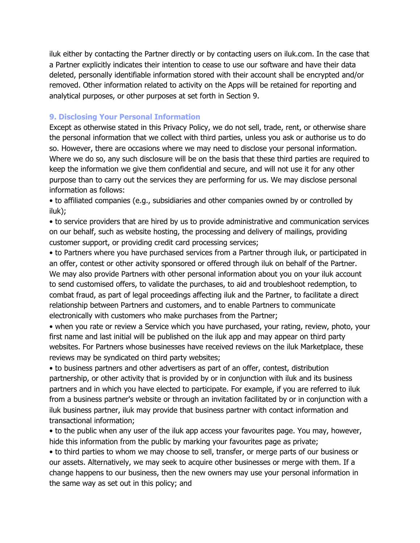iluk either by contacting the Partner directly or by contacting users on iluk.com. In the case that a Partner explicitly indicates their intention to cease to use our software and have their data deleted, personally identifiable information stored with their account shall be encrypted and/or removed. Other information related to activity on the Apps will be retained for reporting and analytical purposes, or other purposes at set forth in Section 9.

#### **9. Disclosing Your Personal Information**

Except as otherwise stated in this Privacy Policy, we do not sell, trade, rent, or otherwise share the personal information that we collect with third parties, unless you ask or authorise us to do so. However, there are occasions where we may need to disclose your personal information. Where we do so, any such disclosure will be on the basis that these third parties are required to keep the information we give them confidential and secure, and will not use it for any other purpose than to carry out the services they are performing for us. We may disclose personal information as follows:

• to affiliated companies (e.g., subsidiaries and other companies owned by or controlled by iluk);

• to service providers that are hired by us to provide administrative and communication services on our behalf, such as website hosting, the processing and delivery of mailings, providing customer support, or providing credit card processing services;

• to Partners where you have purchased services from a Partner through iluk, or participated in an offer, contest or other activity sponsored or offered through iluk on behalf of the Partner. We may also provide Partners with other personal information about you on your iluk account to send customised offers, to validate the purchases, to aid and troubleshoot redemption, to combat fraud, as part of legal proceedings affecting iluk and the Partner, to facilitate a direct relationship between Partners and customers, and to enable Partners to communicate electronically with customers who make purchases from the Partner;

• when you rate or review a Service which you have purchased, your rating, review, photo, your first name and last initial will be published on the iluk app and may appear on third party websites. For Partners whose businesses have received reviews on the iluk Marketplace, these reviews may be syndicated on third party websites;

• to business partners and other advertisers as part of an offer, contest, distribution partnership, or other activity that is provided by or in conjunction with iluk and its business partners and in which you have elected to participate. For example, if you are referred to iluk from a business partner's website or through an invitation facilitated by or in conjunction with a iluk business partner, iluk may provide that business partner with contact information and transactional information;

• to the public when any user of the iluk app access your favourites page. You may, however, hide this information from the public by marking your favourites page as private;

• to third parties to whom we may choose to sell, transfer, or merge parts of our business or our assets. Alternatively, we may seek to acquire other businesses or merge with them. If a change happens to our business, then the new owners may use your personal information in the same way as set out in this policy; and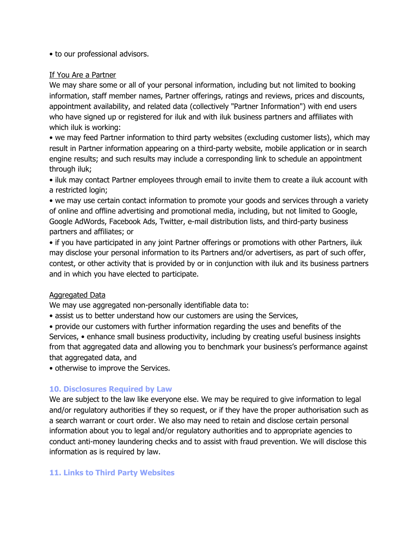• to our professional advisors.

#### If You Are a Partner

We may share some or all of your personal information, including but not limited to booking information, staff member names, Partner offerings, ratings and reviews, prices and discounts, appointment availability, and related data (collectively "Partner Information") with end users who have signed up or registered for iluk and with iluk business partners and affiliates with which iluk is working:

• we may feed Partner information to third party websites (excluding customer lists), which may result in Partner information appearing on a third-party website, mobile application or in search engine results; and such results may include a corresponding link to schedule an appointment through iluk;

• iluk may contact Partner employees through email to invite them to create a iluk account with a restricted login;

• we may use certain contact information to promote your goods and services through a variety of online and offline advertising and promotional media, including, but not limited to Google, Google AdWords, Facebook Ads, Twitter, e-mail distribution lists, and third-party business partners and affiliates; or

• if you have participated in any joint Partner offerings or promotions with other Partners, iluk may disclose your personal information to its Partners and/or advertisers, as part of such offer, contest, or other activity that is provided by or in conjunction with iluk and its business partners and in which you have elected to participate.

#### Aggregated Data

We may use aggregated non-personally identifiable data to:

• assist us to better understand how our customers are using the Services,

• provide our customers with further information regarding the uses and benefits of the Services, • enhance small business productivity, including by creating useful business insights from that aggregated data and allowing you to benchmark your business's performance against that aggregated data, and

• otherwise to improve the Services.

#### **10. Disclosures Required by Law**

We are subject to the law like everyone else. We may be required to give information to legal and/or regulatory authorities if they so request, or if they have the proper authorisation such as a search warrant or court order. We also may need to retain and disclose certain personal information about you to legal and/or regulatory authorities and to appropriate agencies to conduct anti-money laundering checks and to assist with fraud prevention. We will disclose this information as is required by law.

#### **11. Links to Third Party Websites**